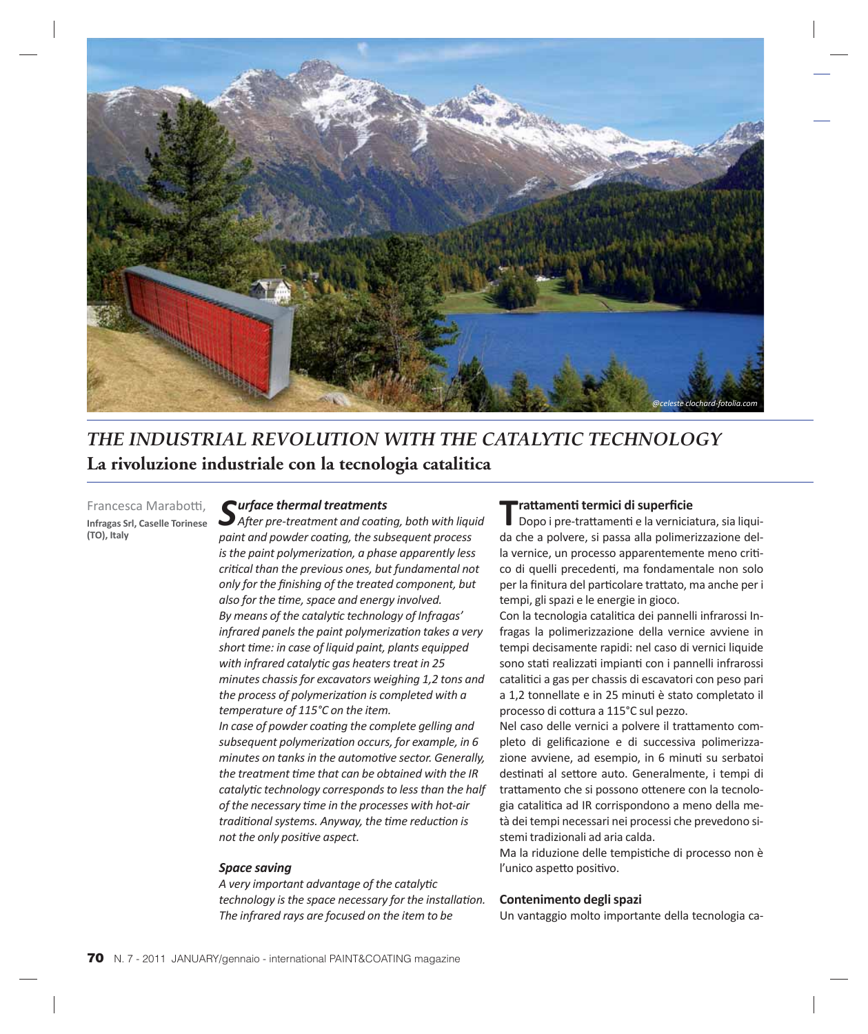

# *THE INDUSTRIAL REVOLUTION WITH THE CATALYTIC TECHNOLOGY* **La rivoluzione industriale con la tecnologia catalitica**

Francesca Marabotti, **Infragas Srl, Caselle Torinese (TO), Italy**

# *Surface thermal treatments*

*Aft er pre-treatment and coati ng, both with liquid paint and powder coating, the subsequent process is the paint polymerizati on, a phase apparently less criti cal than the previous ones, but fundamental not only for the fi nishing of the treated component, but also for the ti me, space and energy involved. By means of the catalyti c technology of Infragas' infrared panels the paint polymerization takes a very short ti me: in case of liquid paint, plants equipped with infrared catalyti c gas heaters treat in 25 minutes chassis for excavators weighing 1,2 tons and the process of polymerization is completed with a temperature of 115°C on the item.* In case of powder coating the complete gelling and *subsequent polymerizati on occurs, for example, in 6 minutes on tanks in the automotive sector. Generally, the treatment ti me that can be obtained with the IR catalyti c technology corresponds to less than the half* 

*of the necessary ti me in the processes with hot-air traditi onal systems. Anyway, the ti me reducti on is not the only positive aspect.* 

#### *Space saving*

*A very important advantage of the catalyti c technology is the space necessary for the installation. The infrared rays are focused on the item to be* 

#### **Tratt amenti termici di superfi cie**

Dopo i pre-trattamenti e la verniciatura, sia liquida che a polvere, si passa alla polimerizzazione della vernice, un processo apparentemente meno critico di quelli precedenti, ma fondamentale non solo per la finitura del particolare trattato, ma anche per i tempi, gli spazi e le energie in gioco.

Con la tecnologia catalitica dei pannelli infrarossi Infragas la polimerizzazione della vernice avviene in tempi decisamente rapidi: nel caso di vernici liquide sono stati realizzati impianti con i pannelli infrarossi catalitici a gas per chassis di escavatori con peso pari a 1,2 tonnellate e in 25 minuti è stato completato il processo di cottura a 115°C sul pezzo.

Nel caso delle vernici a polvere il trattamento completo di gelificazione e di successiva polimerizzazione avviene, ad esempio, in 6 minuti su serbatoi destinati al settore auto. Generalmente, i tempi di trattamento che si possono ottenere con la tecnologia catalitica ad IR corrispondono a meno della metà dei tempi necessari nei processi che prevedono sistemi tradizionali ad aria calda.

Ma la riduzione delle tempistiche di processo non è l'unico aspetto positivo.

#### **Contenimento degli spazi**

Un vantaggio molto importante della tecnologia ca-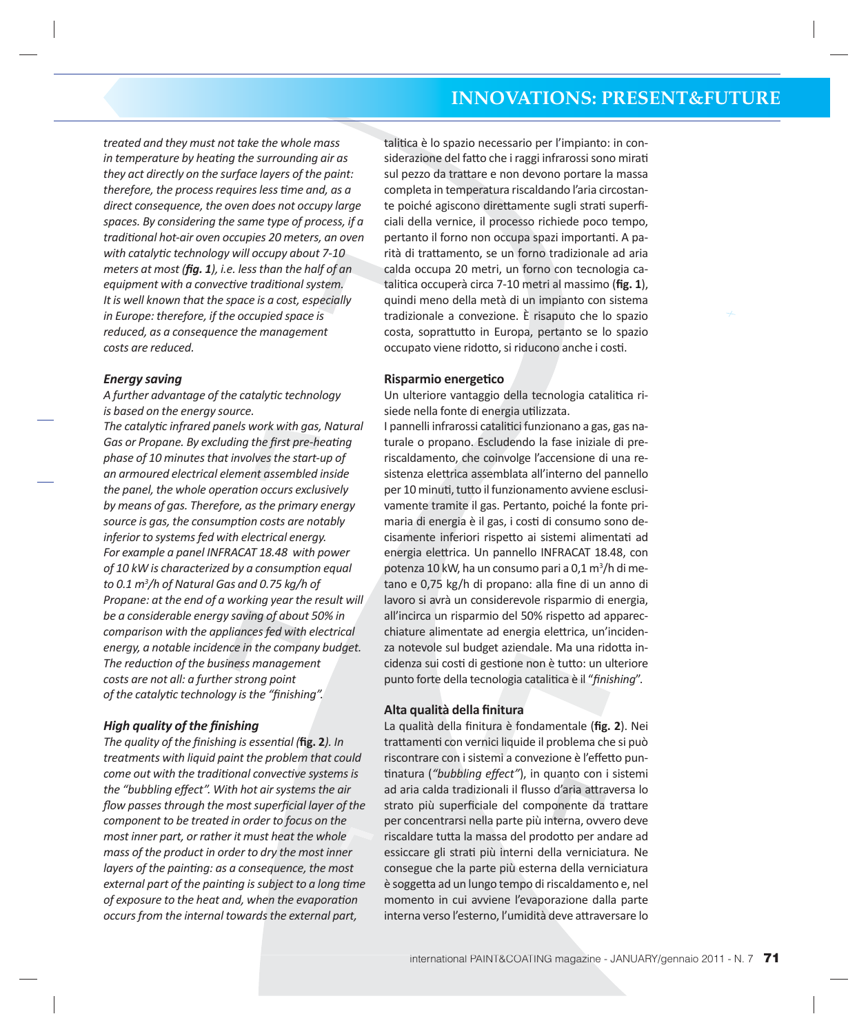*treated and they must not take the whole mass in temperature by heating the surrounding air as they act directly on the surface layers of the paint: therefore, the process requires less time and, as a direct consequence, the oven does not occupy large spaces. By considering the same type of process, if a traditi onal hot-air oven occupies 20 meters, an oven with catalyti c technology will occupy about 7-10 meters at most (fig. 1), i.e. less than the half of an equipment with a convective traditional system. It is well known that the space is a cost, especially in Europe: therefore, if the occupied space is reduced, as a consequence the management costs are reduced.*

# *Energy saving*

*A further advantage of the catalyti c technology is based on the energy source.*

*The catalyti c infrared panels work with gas, Natural Gas or Propane. By excluding the first pre-heating phase of 10 minutes that involves the start-up of an armoured electrical element assembled inside the panel, the whole operation occurs exclusively by means of gas. Therefore, as the primary energy source is gas, the consumption costs are notably inferior to systems fed with electrical energy. For example a panel INFRACAT 18.48 with power of 10 kW is characterized by a consumption equal to 0.1 m3 /h of Natural Gas and 0.75 kg/h of Propane: at the end of a working year the result will be a considerable energy saving of about 50% in comparison with the appliances fed with electrical energy, a notable incidence in the company budget. The reducti on of the business management costs are not all: a further strong point of the catalytic technology is the "finishing".* 

# **High quality of the finishing**

*The quality of the finishing is essential* (*fig. 2). In treatments with liquid paint the problem that could come out with the traditional convective systems is the "bubbling eff ect". With hot air systems the air flow passes through the most superficial layer of the component to be treated in order to focus on the most inner part, or rather it must heat the whole mass of the product in order to dry the most inner layers of the painting: as a consequence, the most external part of the painting is subject to a long time of exposure to the heat and, when the evaporation occurs from the internal towards the external part,* 

talitica è lo spazio necessario per l'impianto: in considerazione del fatto che i raggi infrarossi sono mirati sul pezzo da trattare e non devono portare la massa completa in temperatura riscaldando l'aria circostante poiché agiscono direttamente sugli strati superficiali della vernice, il processo richiede poco tempo, pertanto il forno non occupa spazi importanti. A parità di trattamento, se un forno tradizionale ad aria calda occupa 20 metri, un forno con tecnologia catalitica occuperà circa 7-10 metri al massimo (**fig. 1**), quindi meno della metà di un impianto con sistema tradizionale a convezione. È risaputo che lo spazio costa, soprattutto in Europa, pertanto se lo spazio occupato viene ridotto, si riducono anche i costi.

#### **Risparmio energeti co**

Un ulteriore vantaggio della tecnologia catalitica risiede nella fonte di energia utilizzata.

I pannelli infrarossi catalitici funzionano a gas, gas naturale o propano. Escludendo la fase iniziale di preriscaldamento, che coinvolge l'accensione di una resistenza elettrica assemblata all'interno del pannello per 10 minuti, tutto il funzionamento avviene esclusivamente tramite il gas. Pertanto, poiché la fonte primaria di energia è il gas, i costi di consumo sono decisamente inferiori rispetto ai sistemi alimentati ad energia elettrica. Un pannello INFRACAT 18.48, con potenza 10 kW, ha un consumo pari a 0,1 m<sup>3</sup>/h di metano e 0,75 kg/h di propano: alla fine di un anno di lavoro si avrà un considerevole risparmio di energia, all'incirca un risparmio del 50% rispetto ad apparecchiature alimentate ad energia elettrica, un'incidenza notevole sul budget aziendale. Ma una ridotta incidenza sui costi di gestione non è tutto: un ulteriore punto forte della tecnologia catalitica è il "*finishing*".

#### **Alta qualità della fi nitura**

La qualità della finitura è fondamentale (fig. 2). Nei trattamenti con vernici liquide il problema che si può riscontrare con i sistemi a convezione è l'effetto puntinatura ("bubbling effect"), in quanto con i sistemi ad aria calda tradizionali il flusso d'aria attraversa lo strato più superficiale del componente da trattare per concentrarsi nella parte più interna, ovvero deve riscaldare tutta la massa del prodotto per andare ad essiccare gli strati più interni della verniciatura. Ne consegue che la parte più esterna della verniciatura è soggetta ad un lungo tempo di riscaldamento e, nel momento in cui avviene l'evaporazione dalla parte interna verso l'esterno, l'umidità deve attraversare lo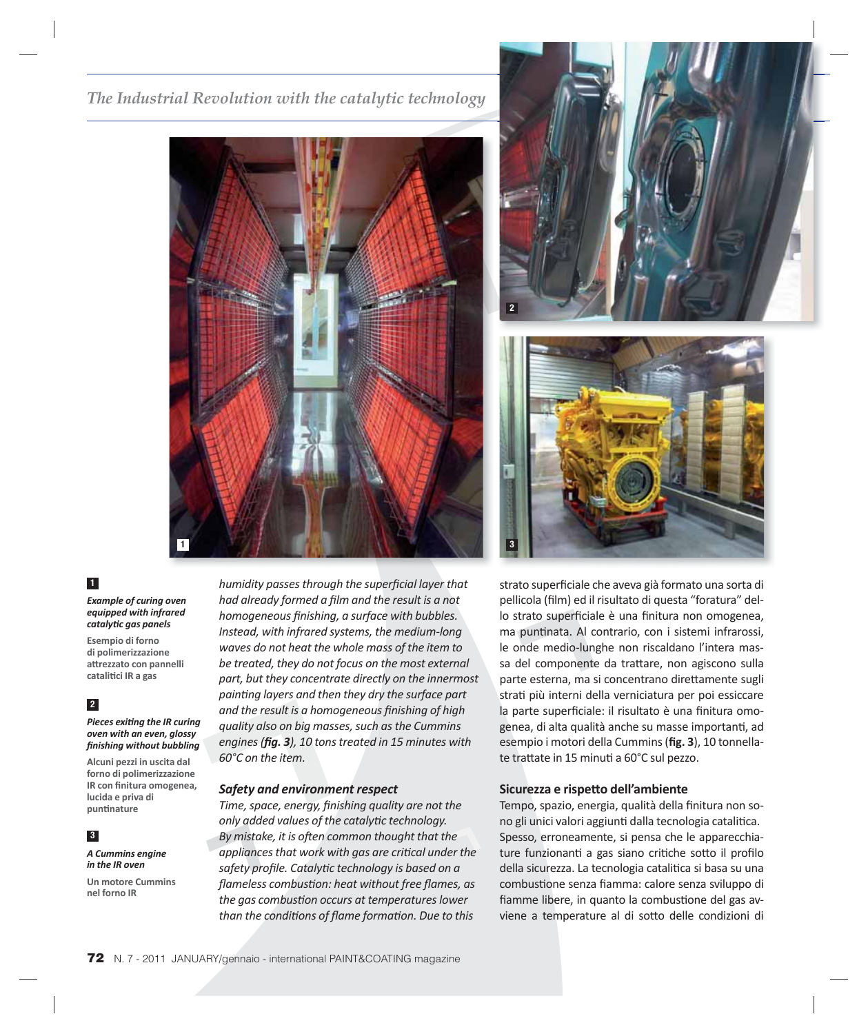*The Industrial Revolution with the catalytic technology*





#### **1**

#### *Example of curing oven equipped with infrared catalyti c gas panels*

**Esempio di forno di polimerizzazione att rezzato con pannelli cataliti ci IR a gas**

# **2**

**Pieces exiting the IR curing** *oven with an even, glossy fi nishing without bubbling*

**Alcuni pezzi in uscita dal forno di polimerizzazione IR con finitura omogenea, lucida e priva di punti nature**

#### **3** *A Cummins engine*

*in the IR oven*

**Un motore Cummins nel forno IR**

*humidity passes through the superfi cial layer that had already formed a fi lm and the result is a not*  homogeneous finishing, a surface with bubbles. *Instead, with infrared systems, the medium-long waves do not heat the whole mass of the item to be treated, they do not focus on the most external part, but they concentrate directly on the innermost painti ng layers and then they dry the surface part*  and the result is a homogeneous finishing of high *quality also on big masses, such as the Cummins*  engines (*fig.* 3), 10 tons treated in 15 minutes with *60°C on the item.*

# *Safety and environment respect*

*Time, space, energy, finishing quality are not the only added values of the catalyti c technology. By mistake, it is oft en common thought that the*  appliances that work with gas are critical under the *safety profi le. Catalyti c technology is based on a flameless combustion: heat without free flames, as the gas combusti on occurs at temperatures lower than the conditi ons of fl ame formati on. Due to this* 

strato superficiale che aveva già formato una sorta di pellicola (film) ed il risultato di questa "foratura" dello strato superficiale è una finitura non omogenea, ma puntinata. Al contrario, con i sistemi infrarossi, le onde medio-lunghe non riscaldano l'intera massa del componente da trattare, non agiscono sulla parte esterna, ma si concentrano direttamente sugli strati più interni della verniciatura per poi essiccare la parte superficiale: il risultato è una finitura omogenea, di alta qualità anche su masse importanti, ad esempio i motori della Cummins (fig. 3), 10 tonnellate trattate in 15 minuti a 60°C sul pezzo.

# **Sicurezza e rispett o dell'ambiente**

Tempo, spazio, energia, qualità della finitura non sono gli unici valori aggiunti dalla tecnologia catalitica. Spesso, erroneamente, si pensa che le apparecchiature funzionanti a gas siano critiche sotto il profilo della sicurezza. La tecnologia catalitica si basa su una combustione senza fiamma: calore senza sviluppo di fiamme libere, in quanto la combustione del gas avviene a temperature al di sotto delle condizioni di